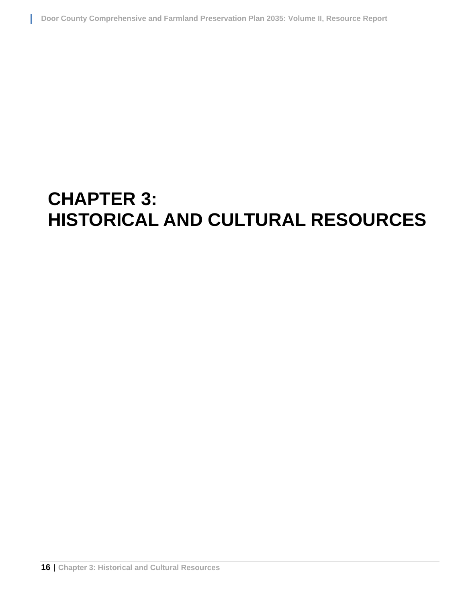# **CHAPTER 3: HISTORICAL AND CULTURAL RESOURCES**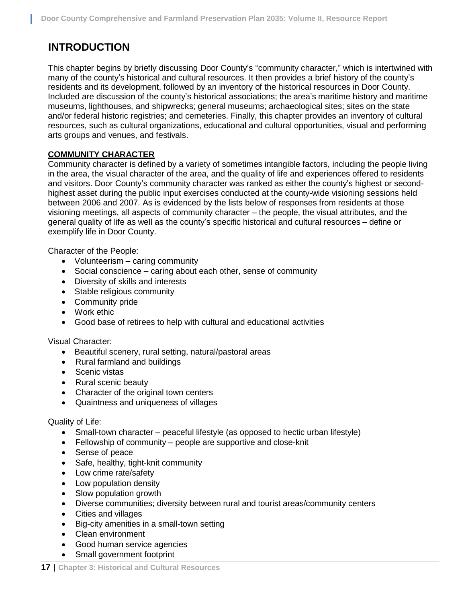# **INTRODUCTION**

This chapter begins by briefly discussing Door County's "community character," which is intertwined with many of the county's historical and cultural resources. It then provides a brief history of the county's residents and its development, followed by an inventory of the historical resources in Door County. Included are discussion of the county's historical associations; the area's maritime history and maritime museums, lighthouses, and shipwrecks; general museums; archaeological sites; sites on the state and/or federal historic registries; and cemeteries. Finally, this chapter provides an inventory of cultural resources, such as cultural organizations, educational and cultural opportunities, visual and performing arts groups and venues, and festivals.

## **COMMUNITY CHARACTER**

Community character is defined by a variety of sometimes intangible factors, including the people living in the area, the visual character of the area, and the quality of life and experiences offered to residents and visitors. Door County's community character was ranked as either the county's highest or secondhighest asset during the public input exercises conducted at the county-wide visioning sessions held between 2006 and 2007. As is evidenced by the lists below of responses from residents at those visioning meetings, all aspects of community character – the people, the visual attributes, and the general quality of life as well as the county's specific historical and cultural resources – define or exemplify life in Door County.

Character of the People:

- Volunteerism caring community
- Social conscience caring about each other, sense of community
- Diversity of skills and interests
- Stable religious community
- Community pride
- Work ethic
- Good base of retirees to help with cultural and educational activities

Visual Character:

- Beautiful scenery, rural setting, natural/pastoral areas
- Rural farmland and buildings
- Scenic vistas
- Rural scenic beauty
- Character of the original town centers
- Quaintness and uniqueness of villages

#### Quality of Life:

- Small-town character peaceful lifestyle (as opposed to hectic urban lifestyle)
- Fellowship of community people are supportive and close-knit
- Sense of peace
- Safe, healthy, tight-knit community
- Low crime rate/safety
- Low population density
- Slow population growth
- Diverse communities; diversity between rural and tourist areas/community centers
- Cities and villages
- Big-city amenities in a small-town setting
- Clean environment
- Good human service agencies
- Small government footprint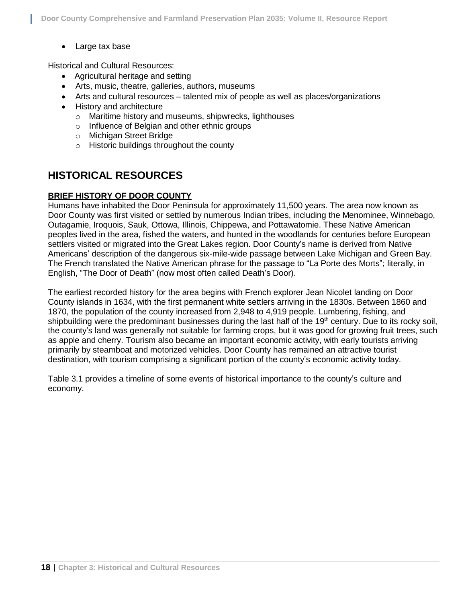Large tax base

Historical and Cultural Resources:

- Agricultural heritage and setting
- Arts, music, theatre, galleries, authors, museums
- Arts and cultural resources talented mix of people as well as places/organizations
- History and architecture
	- o Maritime history and museums, shipwrecks, lighthouses
	- o Influence of Belgian and other ethnic groups
	- o Michigan Street Bridge
	- o Historic buildings throughout the county

# **HISTORICAL RESOURCES**

## **BRIEF HISTORY OF DOOR COUNTY**

Humans have inhabited the Door Peninsula for approximately 11,500 years. The area now known as Door County was first visited or settled by numerous Indian tribes, including the Menominee, Winnebago, Outagamie, Iroquois, Sauk, Ottowa, Illinois, Chippewa, and Pottawatomie. These Native American peoples lived in the area, fished the waters, and hunted in the woodlands for centuries before European settlers visited or migrated into the Great Lakes region. Door County's name is derived from Native Americans' description of the dangerous six-mile-wide passage between Lake Michigan and Green Bay. The French translated the Native American phrase for the passage to "La Porte des Morts"; literally, in English, "The Door of Death" (now most often called Death's Door).

The earliest recorded history for the area begins with French explorer Jean Nicolet landing on Door County islands in 1634, with the first permanent white settlers arriving in the 1830s. Between 1860 and 1870, the population of the county increased from 2,948 to 4,919 people. Lumbering, fishing, and shipbuilding were the predominant businesses during the last half of the 19<sup>th</sup> century. Due to its rocky soil, the county's land was generally not suitable for farming crops, but it was good for growing fruit trees, such as apple and cherry. Tourism also became an important economic activity, with early tourists arriving primarily by steamboat and motorized vehicles. Door County has remained an attractive tourist destination, with tourism comprising a significant portion of the county's economic activity today.

Table 3.1 provides a timeline of some events of historical importance to the county's culture and economy.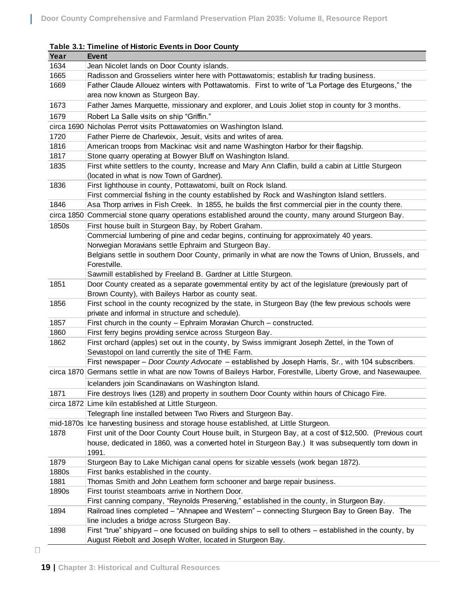| Year         | <b>Event</b>                                                                                                                                                |  |  |  |  |  |
|--------------|-------------------------------------------------------------------------------------------------------------------------------------------------------------|--|--|--|--|--|
| 1634         | Jean Nicolet lands on Door County islands.                                                                                                                  |  |  |  |  |  |
| 1665         | Radisson and Grosseliers winter here with Pottawatomis; establish fur trading business.                                                                     |  |  |  |  |  |
| 1669         | Father Claude Allouez winters with Pottawatomis. First to write of "La Portage des Eturgeons," the                                                          |  |  |  |  |  |
|              | area now known as Sturgeon Bay.                                                                                                                             |  |  |  |  |  |
| 1673         | Father James Marquette, missionary and explorer, and Louis Joliet stop in county for 3 months.                                                              |  |  |  |  |  |
| 1679         | Robert La Salle visits on ship "Griffin."                                                                                                                   |  |  |  |  |  |
|              | circa 1690 Nicholas Perrot visits Pottawatomies on Washington Island.                                                                                       |  |  |  |  |  |
| 1720         | Father Pierre de Charlevoix, Jesuit, visits and writes of area.                                                                                             |  |  |  |  |  |
| 1816         | American troops from Mackinac visit and name Washington Harbor for their flagship.                                                                          |  |  |  |  |  |
| 1817         | Stone quarry operating at Bowyer Bluff on Washington Island.                                                                                                |  |  |  |  |  |
| 1835         | First white settlers to the county, Increase and Mary Ann Claflin, build a cabin at Little Sturgeon                                                         |  |  |  |  |  |
|              | (located in what is now Town of Gardner).                                                                                                                   |  |  |  |  |  |
| 1836         | First lighthouse in county, Pottawatomi, built on Rock Island.                                                                                              |  |  |  |  |  |
|              | First commercial fishing in the county established by Rock and Washington Island settlers.                                                                  |  |  |  |  |  |
| 1846         | Asa Thorp arrives in Fish Creek. In 1855, he builds the first commercial pier in the county there.                                                          |  |  |  |  |  |
|              | circa 1850 Commercial stone quarry operations established around the county, many around Sturgeon Bay.                                                      |  |  |  |  |  |
| 1850s        | First house built in Sturgeon Bay, by Robert Graham.                                                                                                        |  |  |  |  |  |
|              | Commercial lumbering of pine and cedar begins, continuing for approximately 40 years.                                                                       |  |  |  |  |  |
|              | Norwegian Moravians settle Ephraim and Sturgeon Bay.                                                                                                        |  |  |  |  |  |
|              | Belgians settle in southern Door County, primarily in what are now the Towns of Union, Brussels, and                                                        |  |  |  |  |  |
|              | Forestville.                                                                                                                                                |  |  |  |  |  |
|              | Sawmill established by Freeland B. Gardner at Little Sturgeon.                                                                                              |  |  |  |  |  |
| 1851         | Door County created as a separate governmental entity by act of the legislature (previously part of                                                         |  |  |  |  |  |
|              | Brown County), with Baileys Harbor as county seat.                                                                                                          |  |  |  |  |  |
| 1856         | First school in the county recognized by the state, in Sturgeon Bay (the few previous schools were                                                          |  |  |  |  |  |
|              | private and informal in structure and schedule).                                                                                                            |  |  |  |  |  |
| 1857         | First church in the county - Ephraim Moravian Church - constructed.                                                                                         |  |  |  |  |  |
| 1860<br>1862 | First ferry begins providing service across Sturgeon Bay.<br>First orchard (apples) set out in the county, by Swiss immigrant Joseph Zettel, in the Town of |  |  |  |  |  |
|              | Sevastopol on land currently the site of THE Farm.                                                                                                          |  |  |  |  |  |
|              | First newspaper - Door County Advocate - established by Joseph Harris, Sr., with 104 subscribers.                                                           |  |  |  |  |  |
|              | circa 1870 Germans settle in what are now Towns of Baileys Harbor, Forestville, Liberty Grove, and Nasewaupee.                                              |  |  |  |  |  |
|              |                                                                                                                                                             |  |  |  |  |  |
|              | Icelanders join Scandinavians on Washington Island.                                                                                                         |  |  |  |  |  |
| 1871         | Fire destroys lives (128) and property in southern Door County within hours of Chicago Fire.                                                                |  |  |  |  |  |
|              | circa 1872 Lime kiln established at Little Sturgeon.                                                                                                        |  |  |  |  |  |
|              | Telegraph line installed between Two Rivers and Sturgeon Bay.<br>mid-1870s Ice harvesting business and storage house established, at Little Sturgeon.       |  |  |  |  |  |
| 1878         | First unit of the Door County Court House built, in Sturgeon Bay, at a cost of \$12,500. (Previous court                                                    |  |  |  |  |  |
|              | house, dedicated in 1860, was a converted hotel in Sturgeon Bay.) It was subsequently torn down in                                                          |  |  |  |  |  |
|              | 1991.                                                                                                                                                       |  |  |  |  |  |
| 1879         | Sturgeon Bay to Lake Michigan canal opens for sizable vessels (work began 1872).                                                                            |  |  |  |  |  |
| 1880s        | First banks established in the county.                                                                                                                      |  |  |  |  |  |
| 1881         | Thomas Smith and John Leathem form schooner and barge repair business.                                                                                      |  |  |  |  |  |
| 1890s        | First tourist steamboats arrive in Northern Door.                                                                                                           |  |  |  |  |  |
|              | First canning company, "Reynolds Preserving," established in the county, in Sturgeon Bay.                                                                   |  |  |  |  |  |
| 1894         | Railroad lines completed - "Ahnapee and Western" - connecting Sturgeon Bay to Green Bay. The                                                                |  |  |  |  |  |
|              | line includes a bridge across Sturgeon Bay.                                                                                                                 |  |  |  |  |  |
| 1898         | First "true" shipyard – one focused on building ships to sell to others – established in the county, by                                                     |  |  |  |  |  |
|              | August Riebolt and Joseph Wolter, located in Sturgeon Bay.                                                                                                  |  |  |  |  |  |
|              |                                                                                                                                                             |  |  |  |  |  |

#### **Table 3.1: Timeline of Historic Events in Door County**

 $\Box$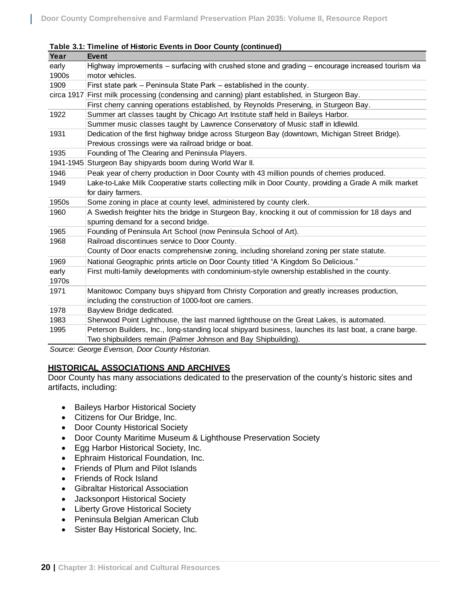| Year  | <b>Event</b>                                                                                           |  |  |  |  |
|-------|--------------------------------------------------------------------------------------------------------|--|--|--|--|
| early | Highway improvements – surfacing with crushed stone and grading – encourage increased tourism via      |  |  |  |  |
| 1900s | motor vehicles.                                                                                        |  |  |  |  |
| 1909  | First state park – Peninsula State Park – established in the county.                                   |  |  |  |  |
|       | circa 1917 First milk processing (condensing and canning) plant established, in Sturgeon Bay.          |  |  |  |  |
|       | First cherry canning operations established, by Reynolds Preserving, in Sturgeon Bay.                  |  |  |  |  |
| 1922  | Summer art classes taught by Chicago Art Institute staff held in Baileys Harbor.                       |  |  |  |  |
|       | Summer music classes taught by Lawrence Conservatory of Music staff in Idlewild.                       |  |  |  |  |
| 1931  | Dedication of the first highway bridge across Sturgeon Bay (downtown, Michigan Street Bridge).         |  |  |  |  |
|       | Previous crossings were via railroad bridge or boat.                                                   |  |  |  |  |
| 1935  | Founding of The Clearing and Peninsula Players.                                                        |  |  |  |  |
|       | 1941-1945 Sturgeon Bay shipyards boom during World War II.                                             |  |  |  |  |
| 1946  | Peak year of cherry production in Door County with 43 million pounds of cherries produced.             |  |  |  |  |
| 1949  | Lake-to-Lake Milk Cooperative starts collecting milk in Door County, providing a Grade A milk market   |  |  |  |  |
|       | for dairy farmers.                                                                                     |  |  |  |  |
| 1950s | Some zoning in place at county level, administered by county clerk.                                    |  |  |  |  |
| 1960  | A Swedish freighter hits the bridge in Sturgeon Bay, knocking it out of commission for 18 days and     |  |  |  |  |
|       | spurring demand for a second bridge.                                                                   |  |  |  |  |
| 1965  | Founding of Peninsula Art School (now Peninsula School of Art).                                        |  |  |  |  |
| 1968  | Railroad discontinues service to Door County.                                                          |  |  |  |  |
|       | County of Door enacts comprehensive zoning, including shoreland zoning per state statute.              |  |  |  |  |
| 1969  | National Geographic prints article on Door County titled "A Kingdom So Delicious."                     |  |  |  |  |
| early | First multi-family developments with condominium-style ownership established in the county.            |  |  |  |  |
| 1970s |                                                                                                        |  |  |  |  |
| 1971  | Manitowoc Company buys shipyard from Christy Corporation and greatly increases production,             |  |  |  |  |
|       | including the construction of 1000-foot ore carriers.                                                  |  |  |  |  |
| 1978  | Bayview Bridge dedicated.                                                                              |  |  |  |  |
| 1983  | Sherwood Point Lighthouse, the last manned lighthouse on the Great Lakes, is automated.                |  |  |  |  |
| 1995  | Peterson Builders, Inc., long-standing local shipyard business, launches its last boat, a crane barge. |  |  |  |  |
|       | Two shipbuilders remain (Palmer Johnson and Bay Shipbuilding).                                         |  |  |  |  |

#### **Table 3.1: Timeline of Historic Events in Door County (continued)**

*Source: George Evenson, Door County Historian.*

## **HISTORICAL ASSOCIATIONS AND ARCHIVES**

Door County has many associations dedicated to the preservation of the county's historic sites and artifacts, including:

- Baileys Harbor Historical Society
- Citizens for Our Bridge, Inc.
- Door County Historical Society
- Door County Maritime Museum & Lighthouse Preservation Society
- Egg Harbor Historical Society, Inc.
- Ephraim Historical Foundation, Inc.
- Friends of Plum and Pilot Islands
- Friends of Rock Island
- Gibraltar Historical Association
- Jacksonport Historical Society
- Liberty Grove Historical Society
- Peninsula Belgian American Club
- Sister Bay Historical Society, Inc.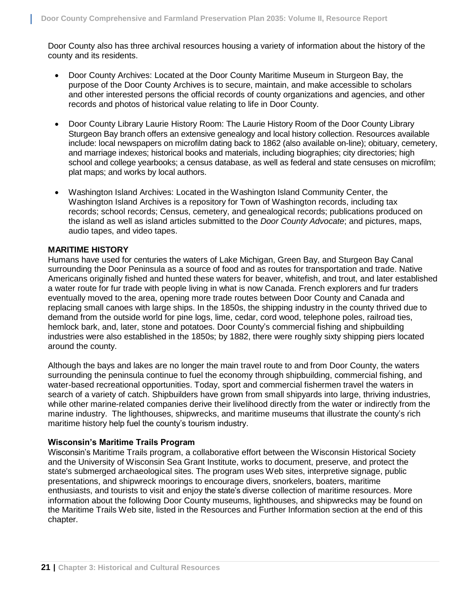Door County also has three archival resources housing a variety of information about the history of the county and its residents.

- Door County Archives: Located at the Door County Maritime Museum in Sturgeon Bay, the purpose of the Door County Archives is to secure, maintain, and make accessible to scholars and other interested persons the official records of county organizations and agencies, and other records and photos of historical value relating to life in Door County.
- Door County Library Laurie History Room: The Laurie History Room of the Door County Library Sturgeon Bay branch offers an extensive genealogy and local history collection. Resources available include: local newspapers on microfilm dating back to 1862 (also available on-line); obituary, cemetery, and marriage indexes; historical books and materials, including biographies; city directories; high school and college yearbooks; a census database, as well as federal and state censuses on microfilm; plat maps; and works by local authors.
- Washington Island Archives: Located in the Washington Island Community Center, the Washington Island Archives is a repository for Town of Washington records, including tax records; school records; Census, cemetery, and genealogical records; publications produced on the island as well as island articles submitted to the *Door County Advocate*; and pictures, maps, audio tapes, and video tapes.

## **MARITIME HISTORY**

Humans have used for centuries the waters of Lake Michigan, Green Bay, and Sturgeon Bay Canal surrounding the Door Peninsula as a source of food and as routes for transportation and trade. Native Americans originally fished and hunted these waters for beaver, whitefish, and trout, and later established a water route for fur trade with people living in what is now Canada. French explorers and fur traders eventually moved to the area, opening more trade routes between Door County and Canada and replacing small canoes with large ships. In the 1850s, the shipping industry in the county thrived due to demand from the outside world for pine logs, lime, cedar, cord wood, telephone poles, railroad ties, hemlock bark, and, later, stone and potatoes. Door County's commercial fishing and shipbuilding industries were also established in the 1850s; by 1882, there were roughly sixty shipping piers located around the county.

Although the bays and lakes are no longer the main travel route to and from Door County, the waters surrounding the peninsula continue to fuel the economy through shipbuilding, commercial fishing, and water-based recreational opportunities. Today, sport and commercial fishermen travel the waters in search of a variety of catch. Shipbuilders have grown from small shipyards into large, thriving industries, while other marine-related companies derive their livelihood directly from the water or indirectly from the marine industry. The lighthouses, shipwrecks, and maritime museums that illustrate the county's rich maritime history help fuel the county's tourism industry.

#### **Wisconsin's Maritime Trails Program**

Wisconsin's Maritime Trails program, a collaborative effort between the Wisconsin Historical Society and the University of Wisconsin Sea Grant Institute, works to document, preserve, and protect the state's submerged archaeological sites. The program uses Web sites, interpretive signage, public presentations, and shipwreck moorings to encourage divers, snorkelers, boaters, maritime enthusiasts, and tourists to visit and enjoy the state's diverse collection of maritime resources. More information about the following Door County museums, lighthouses, and shipwrecks may be found on the Maritime Trails Web site, listed in the Resources and Further Information section at the end of this chapter.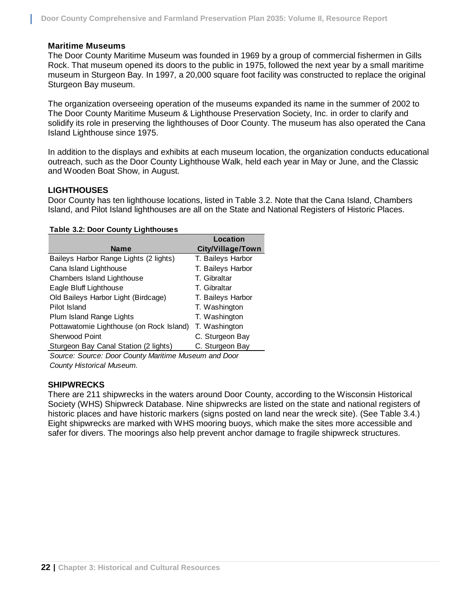#### **Maritime Museums**

The Door County Maritime Museum was founded in 1969 by a group of commercial fishermen in Gills Rock. That museum opened its doors to the public in 1975, followed the next year by a small maritime museum in Sturgeon Bay. In 1997, a 20,000 square foot facility was constructed to replace the original Sturgeon Bay museum.

The organization overseeing operation of the museums expanded its name in the summer of 2002 to The Door County Maritime Museum & Lighthouse Preservation Society, Inc. in order to clarify and solidify its role in preserving the lighthouses of Door County. The museum has also operated the Cana Island Lighthouse since 1975.

In addition to the displays and exhibits at each museum location, the organization conducts educational outreach, such as the Door County Lighthouse Walk, held each year in May or June, and the Classic and Wooden Boat Show, in August.

## **LIGHTHOUSES**

Door County has ten lighthouse locations, listed in Table 3.2. Note that the Cana Island, Chambers Island, and Pilot Island lighthouses are all on the State and National Registers of Historic Places.

|  | Table 3.2: Door County Lighthouses |
|--|------------------------------------|
|  |                                    |

|                                          | Location          |
|------------------------------------------|-------------------|
| <b>Name</b>                              | City/Village/Town |
| Baileys Harbor Range Lights (2 lights)   | T. Baileys Harbor |
| Cana Island Lighthouse                   | T. Baileys Harbor |
| Chambers Island Lighthouse               | T. Gibraltar      |
| Eagle Bluff Lighthouse                   | T. Gibraltar      |
| Old Baileys Harbor Light (Birdcage)      | T. Baileys Harbor |
| Pilot Island                             | T. Washington     |
| Plum Island Range Lights                 | T. Washington     |
| Pottawatomie Lighthouse (on Rock Island) | T. Washington     |
| Sherwood Point                           | C. Sturgeon Bay   |
| Sturgeon Bay Canal Station (2 lights)    | C. Sturgeon Bay   |

*Source: Source: Door County Maritime Museum and Door County Historical Museum.*

#### **SHIPWRECKS**

There are 211 shipwrecks in the waters around Door County, according to the Wisconsin Historical Society (WHS) Shipwreck Database. Nine shipwrecks are listed on the state and national registers of historic places and have historic markers (signs posted on land near the wreck site). (See Table 3.4.) Eight shipwrecks are marked with WHS mooring buoys, which make the sites more accessible and safer for divers. The moorings also help prevent anchor damage to fragile shipwreck structures.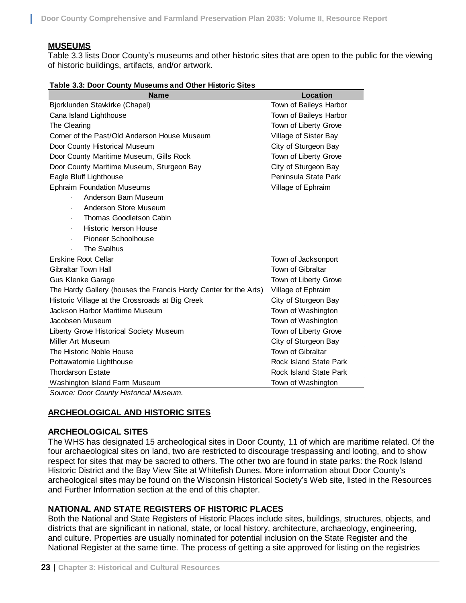## **MUSEUMS**

Table 3.3 lists Door County's museums and other historic sites that are open to the public for the viewing of historic buildings, artifacts, and/or artwork.

|  |  | Table 3.3: Door County Museums and Other Historic Sites |
|--|--|---------------------------------------------------------|
|  |  |                                                         |

| <b>Name</b>                                                                                                                                                           | <b>Location</b>               |  |
|-----------------------------------------------------------------------------------------------------------------------------------------------------------------------|-------------------------------|--|
| Bjorklunden Stavkirke (Chapel)                                                                                                                                        | Town of Baileys Harbor        |  |
| Cana Island Lighthouse                                                                                                                                                | Town of Baileys Harbor        |  |
| The Clearing                                                                                                                                                          | Town of Liberty Grove         |  |
| Corner of the Past/Old Anderson House Museum                                                                                                                          | Village of Sister Bay         |  |
| Door County Historical Museum                                                                                                                                         | City of Sturgeon Bay          |  |
| Door County Maritime Museum, Gills Rock                                                                                                                               | Town of Liberty Grove         |  |
| Door County Maritime Museum, Sturgeon Bay                                                                                                                             | City of Sturgeon Bay          |  |
| Eagle Bluff Lighthouse                                                                                                                                                | Peninsula State Park          |  |
| <b>Ephraim Foundation Museums</b>                                                                                                                                     | Village of Ephraim            |  |
| Anderson Barn Museum                                                                                                                                                  |                               |  |
| Anderson Store Museum                                                                                                                                                 |                               |  |
| Thomas Goodletson Cabin                                                                                                                                               |                               |  |
| Historic Iverson House                                                                                                                                                |                               |  |
| <b>Pioneer Schoolhouse</b>                                                                                                                                            |                               |  |
| The Svalhus                                                                                                                                                           |                               |  |
| <b>Erskine Root Cellar</b>                                                                                                                                            | Town of Jacksonport           |  |
| <b>Gibraltar Town Hall</b>                                                                                                                                            | Town of Gibraltar             |  |
| <b>Gus Klenke Garage</b>                                                                                                                                              | Town of Liberty Grove         |  |
| The Hardy Gallery (houses the Francis Hardy Center for the Arts)                                                                                                      | Village of Ephraim            |  |
| Historic Village at the Crossroads at Big Creek                                                                                                                       | City of Sturgeon Bay          |  |
| Jackson Harbor Maritime Museum                                                                                                                                        | Town of Washington            |  |
| Jacobsen Museum                                                                                                                                                       | Town of Washington            |  |
| Liberty Grove Historical Society Museum                                                                                                                               | Town of Liberty Grove         |  |
| Miller Art Museum                                                                                                                                                     | City of Sturgeon Bay          |  |
| The Historic Noble House                                                                                                                                              | Town of Gibraltar             |  |
| Pottawatomie Lighthouse                                                                                                                                               | Rock Island State Park        |  |
| <b>Thordarson Estate</b>                                                                                                                                              | <b>Rock Island State Park</b> |  |
| Washington Island Farm Museum                                                                                                                                         | Town of Washington            |  |
| Source: Door County Historical Museum.                                                                                                                                |                               |  |
| <u>ARCHEOLOGICAL AND HISTORIC SITES</u>                                                                                                                               |                               |  |
| <b>ARCHEOLOGICAL SITES</b>                                                                                                                                            |                               |  |
| The WHS has designated 15 archeological sites in Door County, 11 of which are maritime related. Of                                                                    |                               |  |
| four archaeological sites on land, two are restricted to discourage trespassing and looting, and to show                                                              |                               |  |
| respect for sites that may be sacred to others. The other two are found in state parks: the Rock Island                                                               |                               |  |
| Historic District and the Bay View Site at Whitefish Dunes. More information about Door County's                                                                      |                               |  |
| archeological sites may be found on the Wisconsin Historical Society's Web site, listed in the Resourd<br>and Further Information section at the end of this chapter. |                               |  |
|                                                                                                                                                                       |                               |  |
| NATIONAL AND STATE REGISTERS OF HISTORIC PLACES                                                                                                                       |                               |  |
| Both the National and State Registers of Historic Places include sites, buildings, structures, objects, a                                                             |                               |  |
| districts that are significant in national, state, or local history, architecture, archaeology, engineering,                                                          |                               |  |
| and culture. Properties are usually nominated for potential inclusion on the State Register and the                                                                   |                               |  |
| National Register at the same time. The process of getting a site approved for listing on the registries                                                              |                               |  |

## **ARCHEOLOGICAL AND HISTORIC SITES**

#### **ARCHEOLOGICAL SITES**

## **NATIONAL AND STATE REGISTERS OF HISTORIC PLACES**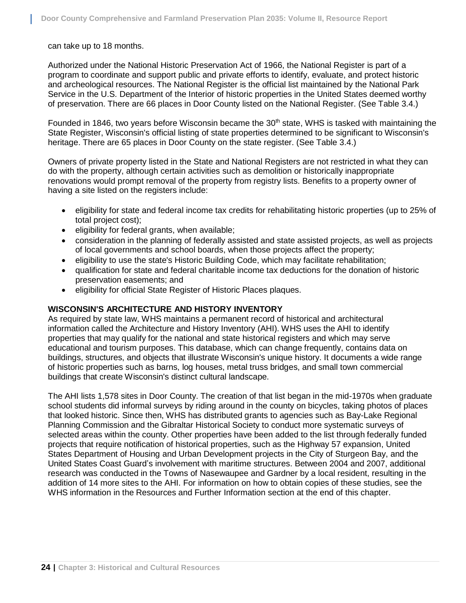can take up to 18 months.

Authorized under the National Historic Preservation Act of 1966, the National Register is part of a program to coordinate and support public and private efforts to identify, evaluate, and protect historic and archeological resources. The National Register is the official list maintained by the National Park Service in the U.S. Department of the Interior of historic properties in the United States deemed worthy of preservation. There are 66 places in Door County listed on the National Register. (See Table 3.4.)

Founded in 1846, two years before Wisconsin became the 30<sup>th</sup> state, WHS is tasked with maintaining the State Register, Wisconsin's official listing of state properties determined to be significant to Wisconsin's heritage. There are 65 places in Door County on the state register. (See Table 3.4.)

Owners of private property listed in the State and National Registers are not restricted in what they can do with the property, although certain activities such as demolition or historically inappropriate renovations would prompt removal of the property from registry lists. Benefits to a property owner of having a site listed on the registers include:

- eligibility for state and federal income tax credits for rehabilitating historic properties (up to 25% of total project cost);
- eligibility for federal grants, when available;
- consideration in the planning of federally assisted and state assisted projects, as well as projects of local governments and school boards, when those projects affect the property;
- eligibility to use the state's Historic Building Code, which may facilitate rehabilitation;
- qualification for state and federal charitable income tax deductions for the donation of historic preservation easements; and
- eligibility for official State Register of Historic Places plaques.

## **WISCONSIN'S ARCHITECTURE AND HISTORY INVENTORY**

As required by state law, WHS maintains a permanent record of historical and architectural information called the Architecture and History Inventory (AHI). WHS uses the AHI to identify properties that may qualify for the national and state historical registers and which may serve educational and tourism purposes. This database, which can change frequently, contains data on buildings, structures, and objects that illustrate Wisconsin's unique history. It documents a wide range of historic properties such as barns, log houses, metal truss bridges, and small town commercial buildings that create Wisconsin's distinct cultural landscape.

The AHI lists 1,578 sites in Door County. The creation of that list began in the mid-1970s when graduate school students did informal surveys by riding around in the county on bicycles, taking photos of places that looked historic. Since then, WHS has distributed grants to agencies such as Bay-Lake Regional Planning Commission and the Gibraltar Historical Society to conduct more systematic surveys of selected areas within the county. Other properties have been added to the list through federally funded projects that require notification of historical properties, such as the Highway 57 expansion, United States Department of Housing and Urban Development projects in the City of Sturgeon Bay, and the United States Coast Guard's involvement with maritime structures. Between 2004 and 2007, additional research was conducted in the Towns of Nasewaupee and Gardner by a local resident, resulting in the addition of 14 more sites to the AHI. For information on how to obtain copies of these studies, see the WHS information in the Resources and Further Information section at the end of this chapter.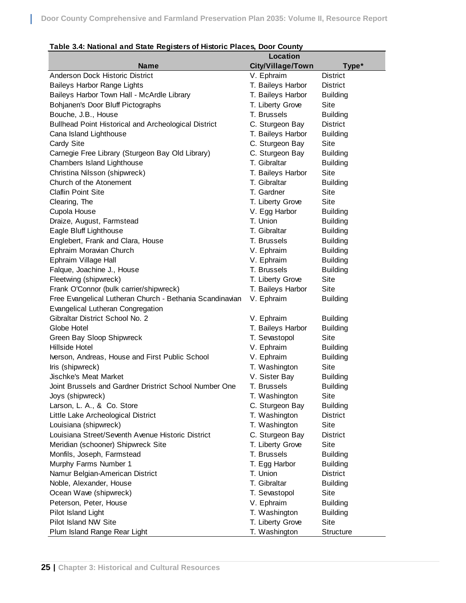| $\overline{\phantom{a}}$ able 5.4. National and state registers of mstoric Fraces, Door County | <b>Location</b>   |                 |
|------------------------------------------------------------------------------------------------|-------------------|-----------------|
| <b>Name</b>                                                                                    | City/Village/Town | Type*           |
| Anderson Dock Historic District                                                                | V. Ephraim        | <b>District</b> |
| <b>Baileys Harbor Range Lights</b>                                                             | T. Baileys Harbor | <b>District</b> |
| Baileys Harbor Town Hall - McArdle Library                                                     | T. Baileys Harbor | <b>Building</b> |
| Bohjanen's Door Bluff Pictographs                                                              | T. Liberty Grove  | Site            |
| Bouche, J.B., House                                                                            | T. Brussels       | <b>Building</b> |
| Bullhead Point Historical and Archeological District                                           | C. Sturgeon Bay   | <b>District</b> |
| Cana Island Lighthouse                                                                         | T. Baileys Harbor | <b>Building</b> |
| Cardy Site                                                                                     | C. Sturgeon Bay   | Site            |
| Carnegie Free Library (Sturgeon Bay Old Library)                                               | C. Sturgeon Bay   | <b>Building</b> |
| Chambers Island Lighthouse                                                                     | T. Gibraltar      | <b>Building</b> |
| Christina Nilsson (shipwreck)                                                                  | T. Baileys Harbor | Site            |
| Church of the Atonement                                                                        | T. Gibraltar      | <b>Building</b> |
| <b>Claflin Point Site</b>                                                                      | T. Gardner        | Site            |
| Clearing, The                                                                                  | T. Liberty Grove  | Site            |
| Cupola House                                                                                   | V. Egg Harbor     | <b>Building</b> |
| Draize, August, Farmstead                                                                      | T. Union          | <b>Building</b> |
| Eagle Bluff Lighthouse                                                                         | T. Gibraltar      | <b>Building</b> |
| Englebert, Frank and Clara, House                                                              | T. Brussels       | <b>Building</b> |
| Ephraim Moravian Church                                                                        | V. Ephraim        | <b>Building</b> |
| Ephraim Village Hall                                                                           | V. Ephraim        | <b>Building</b> |
| Falque, Joachine J., House                                                                     | T. Brussels       | <b>Building</b> |
| Fleetwing (shipwreck)                                                                          | T. Liberty Grove  | Site            |
| Frank O'Connor (bulk carrier/shipwreck)                                                        | T. Baileys Harbor | Site            |
| Free Evangelical Lutheran Church - Bethania Scandinavian                                       | V. Ephraim        | <b>Building</b> |
| Evangelical Lutheran Congregation                                                              |                   |                 |
| Gibraltar District School No. 2                                                                | V. Ephraim        | <b>Building</b> |
| Globe Hotel                                                                                    | T. Baileys Harbor | <b>Building</b> |
| Green Bay Sloop Shipwreck                                                                      | T. Sevastopol     | Site            |
| Hillside Hotel                                                                                 | V. Ephraim        | <b>Building</b> |
| Iverson, Andreas, House and First Public School                                                | V. Ephraim        | <b>Building</b> |
| Iris (shipwreck)                                                                               | T. Washington     | Site            |
| Jischke's Meat Market                                                                          | V. Sister Bay     | <b>Building</b> |
| Joint Brussels and Gardner Dristrict School Number One                                         | T. Brussels       | <b>Building</b> |
| Joys (shipwreck)                                                                               | T. Washington     | Site            |
| Larson, L. A., & Co. Store                                                                     | C. Sturgeon Bay   | <b>Building</b> |
| Little Lake Archeological District                                                             | T. Washington     | <b>District</b> |
| Louisiana (shipwreck)                                                                          | T. Washington     | Site            |
| Louisiana Street/Seventh Avenue Historic District                                              | C. Sturgeon Bay   | District        |
| Meridian (schooner) Shipwreck Site                                                             | T. Liberty Grove  | Site            |
| Monfils, Joseph, Farmstead                                                                     | T. Brussels       | <b>Building</b> |
| Murphy Farms Number 1                                                                          | T. Egg Harbor     | <b>Building</b> |
| Namur Belgian-American District                                                                | T. Union          | <b>District</b> |
| Noble, Alexander, House                                                                        | T. Gibraltar      | <b>Building</b> |
| Ocean Wave (shipwreck)                                                                         | T. Sevastopol     | Site            |
| Peterson, Peter, House                                                                         | V. Ephraim        | <b>Building</b> |
| Pilot Island Light                                                                             | T. Washington     | <b>Building</b> |
| Pilot Island NW Site                                                                           | T. Liberty Grove  | Site            |
| Plum Island Range Rear Light                                                                   | T. Washington     | Structure       |

| Table 3.4: National and State Registers of Historic Places, Door County |  |  |
|-------------------------------------------------------------------------|--|--|
|                                                                         |  |  |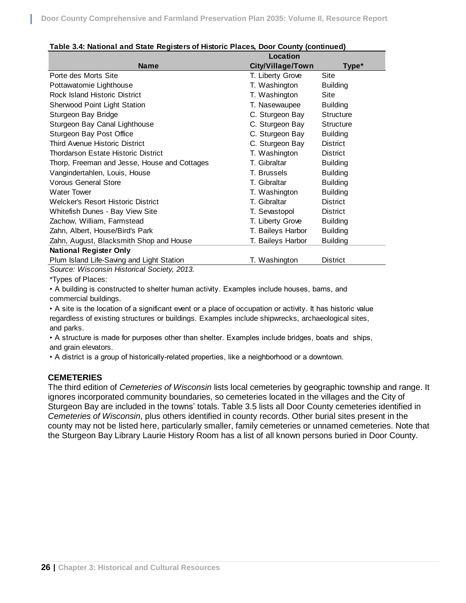|                                              | <b>Location</b>   |                  |
|----------------------------------------------|-------------------|------------------|
| <b>Name</b>                                  | City/Village/Town | Type*            |
| Porte des Morts Site                         | T. Liberty Grove  | Site             |
| Pottawatomie Lighthouse                      | T. Washington     | <b>Building</b>  |
| Rock Island Historic District                | T. Washington     | Site             |
| Sherwood Point Light Station                 | T. Nasewaupee     | <b>Building</b>  |
| Sturgeon Bay Bridge                          | C. Sturgeon Bay   | <b>Structure</b> |
| Sturgeon Bay Canal Lighthouse                | C. Sturgeon Bay   | <b>Structure</b> |
| Sturgeon Bay Post Office                     | C. Sturgeon Bay   | <b>Building</b>  |
| Third Avenue Historic District               | C. Sturgeon Bay   | <b>District</b>  |
| <b>Thordarson Estate Historic District</b>   | T. Washington     | <b>District</b>  |
| Thorp, Freeman and Jesse, House and Cottages | T. Gibraltar      | <b>Building</b>  |
| Vangindertahlen, Louis, House                | T. Brussels       | <b>Building</b>  |
| <b>Vorous General Store</b>                  | T. Gibraltar      | <b>Building</b>  |
| <b>Water Tower</b>                           | T. Washington     | <b>Building</b>  |
| Welcker's Resort Historic District           | T. Gibraltar      | <b>District</b>  |
| Whitefish Dunes - Bay View Site              | T. Sevastopol     | <b>District</b>  |
| Zachow, William, Farmstead                   | T. Liberty Grove  | <b>Building</b>  |
| Zahn, Albert, House/Bird's Park              | T. Baileys Harbor | <b>Building</b>  |
| Zahn, August, Blacksmith Shop and House      | T. Baileys Harbor | <b>Building</b>  |
| <b>National Register Only</b>                |                   |                  |
| Plum Island Life-Saving and Light Station    | T. Washington     | <b>District</b>  |
| Source: Wisconsin Historical Society, 2013.  |                   |                  |

#### **Table 3.4: National and State Registers of Historic Places, Door County (continued)**

\*Types of Places:

• A building is constructed to shelter human activity. Examples include houses, barns, and commercial buildings.

• A site is the location of a significant event or a place of occupation or activity. It has historic value regardless of existing structures or buildings. Examples include shipwrecks, archaeological sites, and parks.

• A structure is made for purposes other than shelter. Examples include bridges, boats and ships, and grain elevators.

• A district is a group of historically-related properties, like a neighborhood or a downtown.

## **CEMETERIES**

The third edition of *Cemeteries of Wisconsin* lists local cemeteries by geographic township and range. It ignores incorporated community boundaries, so cemeteries located in the villages and the City of Sturgeon Bay are included in the towns' totals. Table 3.5 lists all Door County cemeteries identified in *Cemeteries of Wisconsin*, plus others identified in county records. Other burial sites present in the county may not be listed here, particularly smaller, family cemeteries or unnamed cemeteries. Note that the Sturgeon Bay Library Laurie History Room has a list of all known persons buried in Door County.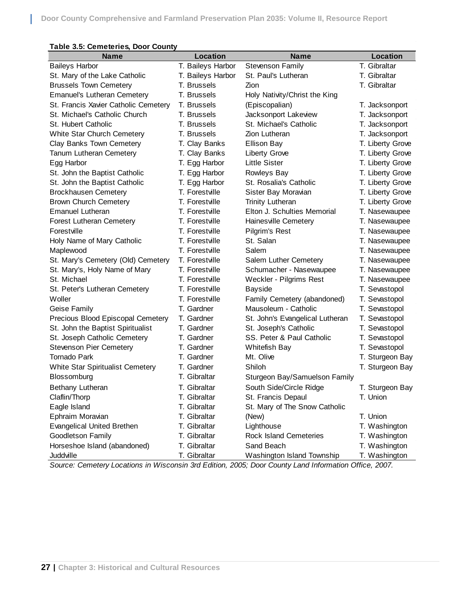| <b>Name</b>                          | <b>Location</b>   | <b>Name</b>                     | <b>Location</b>  |
|--------------------------------------|-------------------|---------------------------------|------------------|
| <b>Baileys Harbor</b>                | T. Baileys Harbor | <b>Stevenson Family</b>         | T. Gibraltar     |
| St. Mary of the Lake Catholic        | T. Baileys Harbor | St. Paul's Lutheran             | T. Gibraltar     |
| <b>Brussels Town Cemetery</b>        | T. Brussels       | Zion                            | T. Gibraltar     |
| <b>Emanuel's Lutheran Cemetery</b>   | T. Brussels       | Holy Nativity/Christ the King   |                  |
| St. Francis Xavier Catholic Cemetery | T. Brussels       | (Episcopalian)                  | T. Jacksonport   |
| St. Michael's Catholic Church        | T. Brussels       | Jacksonport Lakeview            | T. Jacksonport   |
| St. Hubert Catholic                  | T. Brussels       | St. Michael's Catholic          | T. Jacksonport   |
| White Star Church Cemetery           | T. Brussels       | Zion Lutheran                   | T. Jacksonport   |
| Clay Banks Town Cemetery             | T. Clay Banks     | <b>Ellison Bay</b>              | T. Liberty Grove |
| Tanum Lutheran Cemetery              | T. Clay Banks     | Liberty Grove                   | T. Liberty Grove |
| Egg Harbor                           | T. Egg Harbor     | <b>Little Sister</b>            | T. Liberty Grove |
| St. John the Baptist Catholic        | T. Egg Harbor     | Rowleys Bay                     | T. Liberty Grove |
| St. John the Baptist Catholic        | T. Egg Harbor     | St. Rosalia's Catholic          | T. Liberty Grove |
| <b>Brockhausen Cemetery</b>          | T. Forestville    | Sister Bay Moravian             | T. Liberty Grove |
| <b>Brown Church Cemetery</b>         | T. Forestville    | <b>Trinity Lutheran</b>         | T. Liberty Grove |
| <b>Emanuel Lutheran</b>              | T. Forestville    | Elton J. Schulties Memorial     | T. Nasewaupee    |
| Forest Lutheran Cemetery             | T. Forestville    | Haines ville Cemetery           | T. Nasewaupee    |
| Forestville                          | T. Forestville    | Pilgrim's Rest                  | T. Nasewaupee    |
| Holy Name of Mary Catholic           | T. Forestville    | St. Salan                       | T. Nasewaupee    |
| Maplewood                            | T. Forestville    | Salem                           | T. Nasewaupee    |
| St. Mary's Cemetery (Old) Cemetery   | T. Forestville    | Salem Luther Cemetery           | T. Nasewaupee    |
| St. Mary's, Holy Name of Mary        | T. Forestville    | Schumacher - Nasewaupee         | T. Nasewaupee    |
| St. Michael                          | T. Forestville    | Weckler - Pilgrims Rest         | T. Nasewaupee    |
| St. Peter's Lutheran Cemetery        | T. Forestville    | <b>Bayside</b>                  | T. Sevastopol    |
| Woller                               | T. Forestville    | Family Cemetery (abandoned)     | T. Sevastopol    |
| Geise Family                         | T. Gardner        | Mausoleum - Catholic            | T. Sevastopol    |
| Precious Blood Episcopal Cemetery    | T. Gardner        | St. John's Evangelical Lutheran | T. Sevastopol    |
| St. John the Baptist Spiritualist    | T. Gardner        | St. Joseph's Catholic           | T. Sevastopol    |
| St. Joseph Catholic Cemetery         | T. Gardner        | SS. Peter & Paul Catholic       | T. Sevastopol    |
| <b>Stevenson Pier Cemetery</b>       | T. Gardner        | Whitefish Bay                   | T. Sevastopol    |
| <b>Tornado Park</b>                  | T. Gardner        | Mt. Olive                       | T. Sturgeon Bay  |
| White Star Spiritualist Cemetery     | T. Gardner        | Shiloh                          | T. Sturgeon Bay  |
| Blossomburg                          | T. Gibraltar      | Sturgeon Bay/Samuelson Family   |                  |
| Bethany Lutheran                     | T. Gibraltar      | South Side/Circle Ridge         | T. Sturgeon Bay  |
| Claflin/Thorp                        | T. Gibraltar      | St. Francis Depaul              | T. Union         |
| Eagle Island                         | T. Gibraltar      | St. Mary of The Snow Catholic   |                  |
| Ephraim Moravian                     | T. Gibraltar      | (New)                           | T. Union         |
| <b>Evangelical United Brethen</b>    | T. Gibraltar      | Lighthouse                      | T. Washington    |
| Goodletson Family                    | T. Gibraltar      | <b>Rock Island Cemeteries</b>   | T. Washington    |
| Horseshoe Island (abandoned)         | T. Gibraltar      | Sand Beach                      | T. Washington    |
| Juddville                            | T. Gibraltar      | Washington Island Township      | T. Washington    |

## **Table 3.5: Cemeteries, Door County**

L

*Source: Cemetery Locations in Wisconsin 3rd Edition, 2005; Door County Land Information Office, 2007.*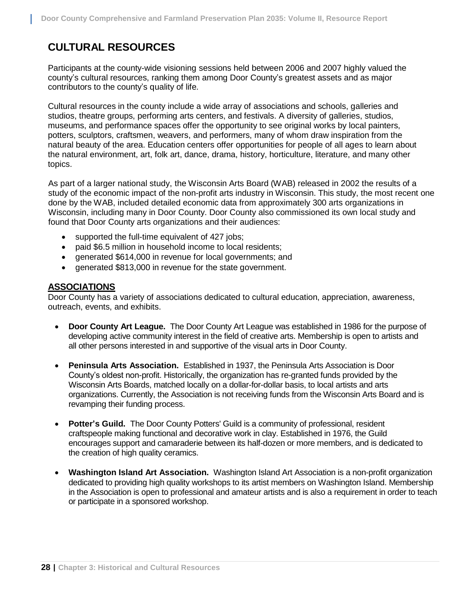# **CULTURAL RESOURCES**

Participants at the county-wide visioning sessions held between 2006 and 2007 highly valued the county's cultural resources, ranking them among Door County's greatest assets and as major contributors to the county's quality of life.

Cultural resources in the county include a wide array of associations and schools, galleries and studios, theatre groups, performing arts centers, and festivals. A diversity of galleries, studios, museums, and performance spaces offer the opportunity to see original works by local painters, potters, sculptors, craftsmen, weavers, and performers, many of whom draw inspiration from the natural beauty of the area. Education centers offer opportunities for people of all ages to learn about the natural environment, art, folk art, dance, drama, history, horticulture, literature, and many other topics.

As part of a larger national study, the Wisconsin Arts Board (WAB) released in 2002 the results of a study of the economic impact of the non-profit arts industry in Wisconsin. This study, the most recent one done by the WAB, included detailed economic data from approximately 300 arts organizations in Wisconsin, including many in Door County. Door County also commissioned its own local study and found that Door County arts organizations and their audiences:

- supported the full-time equivalent of 427 jobs;
- paid \$6.5 million in household income to local residents;
- generated \$614,000 in revenue for local governments; and
- generated \$813,000 in revenue for the state government.

## **ASSOCIATIONS**

Door County has a variety of associations dedicated to cultural education, appreciation, awareness, outreach, events, and exhibits.

- **Door County Art League.** The Door County Art League was established in 1986 for the purpose of developing active community interest in the field of creative arts. Membership is open to artists and all other persons interested in and supportive of the visual arts in Door County.
- **Peninsula Arts Association.** Established in 1937, the Peninsula Arts Association is Door County's oldest non-profit. Historically, the organization has re-granted funds provided by the Wisconsin Arts Boards, matched locally on a dollar-for-dollar basis, to local artists and arts organizations. Currently, the Association is not receiving funds from the Wisconsin Arts Board and is revamping their funding process.
- **Potter's Guild.** The Door County Potters' Guild is a community of professional, resident craftspeople making functional and decorative work in clay. Established in 1976, the Guild encourages support and camaraderie between its half-dozen or more members, and is dedicated to the creation of high quality ceramics.
- **Washington Island Art Association.** Washington Island Art Association is a non-profit organization dedicated to providing high quality workshops to its artist members on Washington Island. Membership in the Association is open to professional and amateur artists and is also a requirement in order to teach or participate in a sponsored workshop.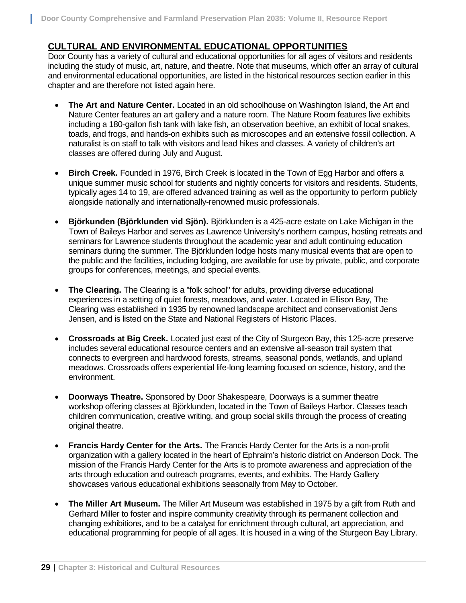## **CULTURAL AND ENVIRONMENTAL EDUCATIONAL OPPORTUNITIES**

Door County has a variety of cultural and educational opportunities for all ages of visitors and residents including the study of music, art, nature, and theatre. Note that museums, which offer an array of cultural and environmental educational opportunities, are listed in the historical resources section earlier in this chapter and are therefore not listed again here.

- **The Art and Nature Center.** Located in an old schoolhouse on Washington Island, the Art and Nature Center features an art gallery and a nature room. The Nature Room features live exhibits including a 180-gallon fish tank with lake fish, an observation beehive, an exhibit of local snakes, toads, and frogs, and hands-on exhibits such as microscopes and an extensive fossil collection. A naturalist is on staff to talk with visitors and lead hikes and classes. A variety of children's art classes are offered during July and August.
- **Birch Creek.** Founded in 1976, Birch Creek is located in the Town of Egg Harbor and offers a unique summer music school for students and nightly concerts for visitors and residents. Students, typically ages 14 to 19, are offered advanced training as well as the opportunity to perform publicly alongside nationally and internationally-renowned music professionals.
- **Björkunden (Björklunden vid Sjön).** Björklunden is a 425-acre estate on Lake Michigan in the Town of Baileys Harbor and serves as Lawrence University's northern campus, hosting retreats and seminars for Lawrence students throughout the academic year and adult continuing education seminars during the summer. The Björklunden lodge hosts many musical events that are open to the public and the facilities, including lodging, are available for use by private, public, and corporate groups for conferences, meetings, and special events.
- **The Clearing.** The Clearing is a "folk school" for adults, providing diverse educational experiences in a setting of quiet forests, meadows, and water. Located in Ellison Bay, The Clearing was established in 1935 by renowned landscape architect and conservationist Jens Jensen, and is listed on the State and National Registers of Historic Places.
- **Crossroads at Big Creek.** Located just east of the City of Sturgeon Bay, this 125-acre preserve includes several educational resource centers and an extensive all-season trail system that connects to evergreen and hardwood forests, streams, seasonal ponds, wetlands, and upland meadows. Crossroads offers experiential life-long learning focused on science, history, and the environment.
- **Doorways Theatre.** Sponsored by Door Shakespeare, Doorways is a summer theatre workshop offering classes at Björklunden, located in the Town of Baileys Harbor. Classes teach children communication, creative writing, and group social skills through the process of creating original theatre.
- **Francis Hardy Center for the Arts.** The Francis Hardy Center for the Arts is a non-profit organization with a gallery located in the heart of Ephraim's historic district on Anderson Dock. The mission of the Francis Hardy Center for the Arts is to promote awareness and appreciation of the arts through education and outreach programs, events, and exhibits. The Hardy Gallery showcases various educational exhibitions seasonally from May to October.
- **The Miller Art Museum.** The Miller Art Museum was established in 1975 by a gift from Ruth and Gerhard Miller to foster and inspire community creativity through its permanent collection and changing exhibitions, and to be a catalyst for enrichment through cultural, art appreciation, and educational programming for people of all ages. It is housed in a wing of the Sturgeon Bay Library.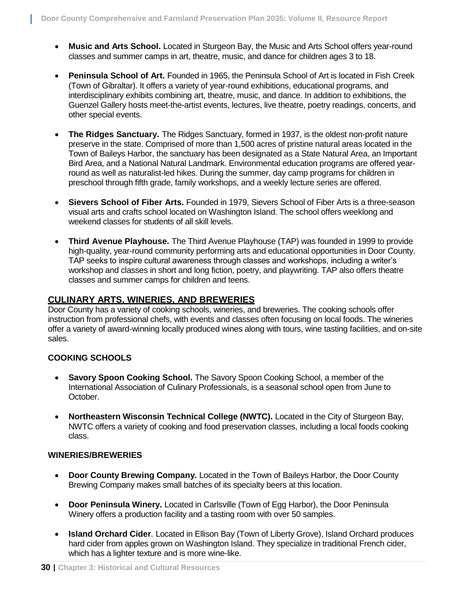- **Music and Arts School.** Located in Sturgeon Bay, the Music and Arts School offers year-round classes and summer camps in art, theatre, music, and dance for children ages 3 to 18.
- **Peninsula School of Art.** Founded in 1965, the Peninsula School of Art is located in Fish Creek (Town of Gibraltar). It offers a variety of year-round exhibitions, educational programs, and interdisciplinary exhibits combining art, theatre, music, and dance. In addition to exhibitions, the Guenzel Gallery hosts meet-the-artist events, lectures, live theatre, poetry readings, concerts, and other special events.
- **The Ridges Sanctuary.** The Ridges Sanctuary, formed in 1937, is the oldest non-profit nature preserve in the state. Comprised of more than 1,500 acres of pristine natural areas located in the Town of Baileys Harbor, the sanctuary has been designated as a State Natural Area, an Important Bird Area, and a National Natural Landmark. Environmental education programs are offered yearround as well as naturalist-led hikes. During the summer, day camp programs for children in preschool through fifth grade, family workshops, and a weekly lecture series are offered.
- **Sievers School of Fiber Arts.** Founded in 1979, Sievers School of Fiber Arts is a three-season visual arts and crafts school located on Washington Island. The school offers weeklong and weekend classes for students of all skill levels.
- **Third Avenue Playhouse.** The Third Avenue Playhouse (TAP) was founded in 1999 to provide high-quality, year-round community performing arts and educational opportunities in Door County. TAP seeks to inspire cultural awareness through classes and workshops, including a writer's workshop and classes in short and long fiction, poetry, and playwriting. TAP also offers theatre classes and summer camps for children and teens.

## **CULINARY ARTS, WINERIES, AND BREWERIES**

Door County has a variety of cooking schools, wineries, and breweries. The cooking schools offer instruction from professional chefs, with events and classes often focusing on local foods. The wineries offer a variety of award-winning locally produced wines along with tours, wine tasting facilities, and on-site sales.

## **COOKING SCHOOLS**

- **Savory Spoon Cooking School.** The Savory Spoon Cooking School, a member of the International Association of Culinary Professionals, is a seasonal school open from June to October.
- **Northeastern Wisconsin Technical College (NWTC).** Located in the City of Sturgeon Bay, NWTC offers a variety of cooking and food preservation classes, including a local foods cooking class.

## **WINERIES/BREWERIES**

- **Door County Brewing Company.** Located in the Town of Baileys Harbor, the Door County Brewing Company makes small batches of its specialty beers at this location.
- **Door Peninsula Winery.** Located in Carlsville (Town of Egg Harbor), the Door Peninsula Winery offers a production facility and a tasting room with over 50 samples.
- **Island Orchard Cider**. Located in Ellison Bay (Town of Liberty Grove), Island Orchard produces hard cider from apples grown on Washington Island. They specialize in traditional French cider, which has a lighter texture and is more wine-like.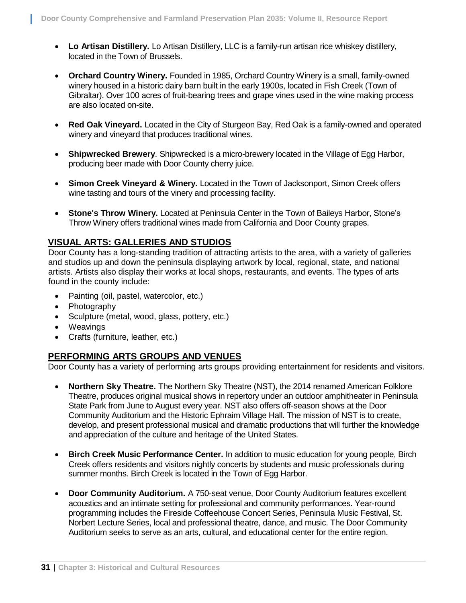- **Lo Artisan Distillery.** Lo Artisan Distillery, LLC is a family-run artisan rice whiskey distillery, located in the Town of Brussels.
- **Orchard Country Winery.** Founded in 1985, Orchard Country Winery is a small, family-owned winery housed in a historic dairy barn built in the early 1900s, located in Fish Creek (Town of Gibraltar). Over 100 acres of fruit-bearing trees and grape vines used in the wine making process are also located on-site.
- **Red Oak Vineyard.** Located in the City of Sturgeon Bay, Red Oak is a family-owned and operated winery and vineyard that produces traditional wines.
- **Shipwrecked Brewery**. Shipwrecked is a micro-brewery located in the Village of Egg Harbor, producing beer made with Door County cherry juice.
- **Simon Creek Vineyard & Winery.** Located in the Town of Jacksonport, Simon Creek offers wine tasting and tours of the vinery and processing facility.
- **Stone's Throw Winery.** Located at Peninsula Center in the Town of Baileys Harbor, Stone's Throw Winery offers traditional wines made from California and Door County grapes.

## **VISUAL ARTS: GALLERIES AND STUDIOS**

Door County has a long-standing tradition of attracting artists to the area, with a variety of galleries and studios up and down the peninsula displaying artwork by local, regional, state, and national artists. Artists also display their works at local shops, restaurants, and events. The types of arts found in the county include:

- Painting (oil, pastel, watercolor, etc.)
- Photography
- Sculpture (metal, wood, glass, pottery, etc.)
- Weavings
- Crafts (furniture, leather, etc.)

## **PERFORMING ARTS GROUPS AND VENUES**

Door County has a variety of performing arts groups providing entertainment for residents and visitors.

- **Northern Sky Theatre.** The Northern Sky Theatre (NST), the 2014 renamed American Folklore Theatre, produces original musical shows in repertory under an outdoor amphitheater in Peninsula State Park from June to August every year. NST also offers off-season shows at the Door Community Auditorium and the Historic Ephraim Village Hall. The mission of NST is to create, develop, and present professional musical and dramatic productions that will further the knowledge and appreciation of the culture and heritage of the United States.
- **Birch Creek Music Performance Center.** In addition to music education for young people, Birch Creek offers residents and visitors nightly concerts by students and music professionals during summer months. Birch Creek is located in the Town of Egg Harbor.
- **Door Community Auditorium.** A 750-seat venue, Door County Auditorium features excellent acoustics and an intimate setting for professional and community performances. Year-round programming includes the Fireside Coffeehouse Concert Series, Peninsula Music Festival, St. Norbert Lecture Series, local and professional theatre, dance, and music. The Door Community Auditorium seeks to serve as an arts, cultural, and educational center for the entire region.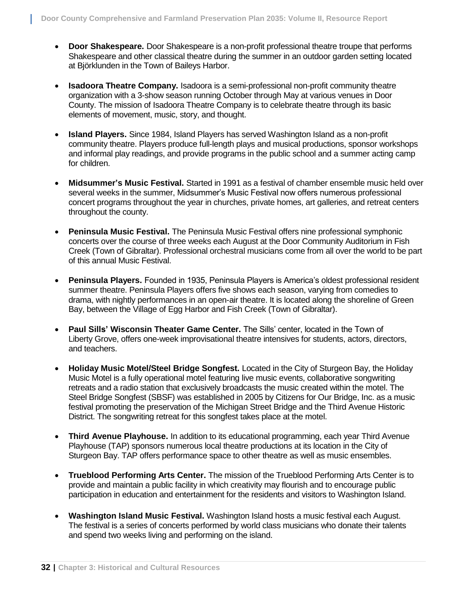- **Door Shakespeare.** Door Shakespeare is a non-profit professional theatre troupe that performs Shakespeare and other classical theatre during the summer in an outdoor garden setting located at Björklunden in the Town of Baileys Harbor.
- **Isadoora Theatre Company.** Isadoora is a semi-professional non-profit community theatre organization with a 3-show season running October through May at various venues in Door County. The mission of Isadoora Theatre Company is to celebrate theatre through its basic elements of movement, music, story, and thought.
- **Island Players.** Since 1984, Island Players has served Washington Island as a non-profit community theatre. Players produce full-length plays and musical productions, sponsor workshops and informal play readings, and provide programs in the public school and a summer acting camp for children.
- **Midsummer's Music Festival.** Started in 1991 as a festival of chamber ensemble music held over several weeks in the summer, Midsummer's Music Festival now offers numerous professional concert programs throughout the year in churches, private homes, art galleries, and retreat centers throughout the county.
- **Peninsula Music Festival.** The Peninsula Music Festival offers nine professional symphonic concerts over the course of three weeks each August at the Door Community Auditorium in Fish Creek (Town of Gibraltar). Professional orchestral musicians come from all over the world to be part of this annual Music Festival.
- **Peninsula Players.** Founded in 1935, Peninsula Players is America's oldest professional resident summer theatre. Peninsula Players offers five shows each season, varying from comedies to drama, with nightly performances in an open-air theatre. It is located along the shoreline of Green Bay, between the Village of Egg Harbor and Fish Creek (Town of Gibraltar).
- **Paul Sills' Wisconsin Theater Game Center.** The Sills' center, located in the Town of Liberty Grove, offers one-week improvisational theatre intensives for students, actors, directors, and teachers.
- **Holiday Music Motel/Steel Bridge Songfest.** Located in the City of Sturgeon Bay, the Holiday Music Motel is a fully operational motel featuring live music events, collaborative songwriting retreats and a radio station that exclusively broadcasts the music created within the motel. The Steel Bridge Songfest (SBSF) was established in 2005 by Citizens for Our Bridge, Inc. as a music festival promoting the preservation of the Michigan Street Bridge and the Third Avenue Historic District. The songwriting retreat for this songfest takes place at the motel.
- **Third Avenue Playhouse.** In addition to its educational programming, each year Third Avenue Playhouse (TAP) sponsors numerous local theatre productions at its location in the City of Sturgeon Bay. TAP offers performance space to other theatre as well as music ensembles.
- **Trueblood Performing Arts Center.** The mission of the Trueblood Performing Arts Center is to provide and maintain a public facility in which creativity may flourish and to encourage public participation in education and entertainment for the residents and visitors to Washington Island.
- **Washington Island Music Festival.** Washington Island hosts a music festival each August. The festival is a series of concerts performed by world class musicians who donate their talents and spend two weeks living and performing on the island.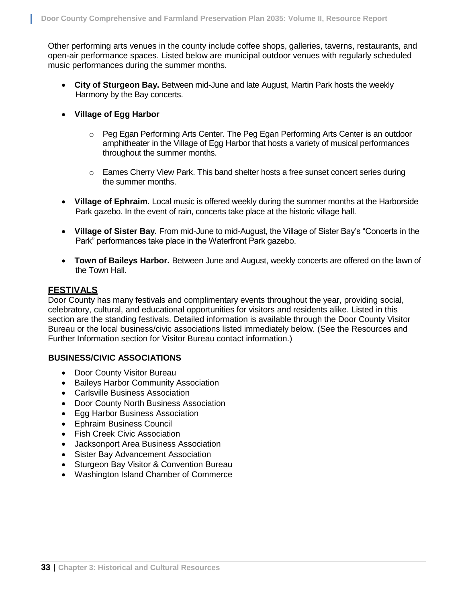Other performing arts venues in the county include coffee shops, galleries, taverns, restaurants, and open-air performance spaces. Listed below are municipal outdoor venues with regularly scheduled music performances during the summer months.

- **City of Sturgeon Bay.** Between mid-June and late August, Martin Park hosts the weekly Harmony by the Bay concerts.
- **Village of Egg Harbor**
	- o Peg Egan Performing Arts Center. The Peg Egan Performing Arts Center is an outdoor amphitheater in the Village of Egg Harbor that hosts a variety of musical performances throughout the summer months.
	- $\circ$  Eames Cherry View Park. This band shelter hosts a free sunset concert series during the summer months.
- **Village of Ephraim.** Local music is offered weekly during the summer months at the Harborside Park gazebo. In the event of rain, concerts take place at the historic village hall.
- **Village of Sister Bay.** From mid-June to mid-August, the Village of Sister Bay's "Concerts in the Park" performances take place in the Waterfront Park gazebo.
- **Town of Baileys Harbor.** Between June and August, weekly concerts are offered on the lawn of the Town Hall.

## **FESTIVALS**

Door County has many festivals and complimentary events throughout the year, providing social, celebratory, cultural, and educational opportunities for visitors and residents alike. Listed in this section are the standing festivals. Detailed information is available through the Door County Visitor Bureau or the local business/civic associations listed immediately below. (See the Resources and Further Information section for Visitor Bureau contact information.)

## **BUSINESS/CIVIC ASSOCIATIONS**

- Door County Visitor Bureau
- Baileys Harbor Community Association
- Carlsville Business Association
- Door County North Business Association
- Egg Harbor Business Association
- Ephraim Business Council
- Fish Creek Civic Association
- Jacksonport Area Business Association
- Sister Bay Advancement Association
- Sturgeon Bay Visitor & Convention Bureau
- Washington Island Chamber of Commerce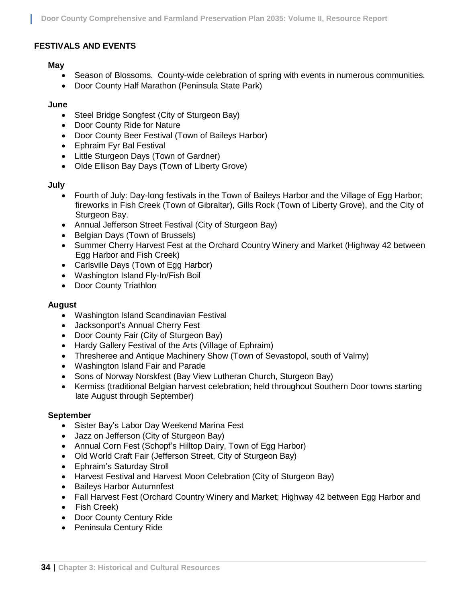## **FESTIVALS AND EVENTS**

## **May**

- Season of Blossoms. County-wide celebration of spring with events in numerous communities.
- Door County Half Marathon (Peninsula State Park)

## **June**

- Steel Bridge Songfest (City of Sturgeon Bay)
- Door County Ride for Nature
- Door County Beer Festival (Town of Baileys Harbor)
- Ephraim Fyr Bal [Festival](http://www.doorcounty.com/web/event.asp?eventid=3662&AreaId=0)
- [Little Sturgeon Days](http://www.doorcounty.com/web/event.asp?eventid=3672&AreaId=0) (Town of Gardner)
- [Olde Ellison Bay](http://www.doorcounty.com/web/event.asp?eventid=3675&AreaId=0) Days (Town of Liberty Grove)

## **July**

- Fourth of July: Day-long festivals in the Town of Baileys Harbor and the Village of Egg Harbor; fireworks in Fish Creek (Town of Gibraltar), Gills Rock (Town of Liberty Grove), and the City of Sturgeon Bay.
- [Annual Jefferson](http://www.doorcounty.com/web/event.asp?eventid=3693&AreaId=0) Street Festival (City of Sturgeon Bay)
- [Belgian Days](http://www.doorcounty.com/web/event.asp?eventid=3694&AreaId=0) (Town of Brussels)
- Summer Cherry [Harvest Fest](http://www.doorcounty.com/web/event.asp?eventid=3700&AreaId=0) at the Orchard Country Winery and Market (Highway 42 between Egg Harbor and Fish Creek)
- Carlsville Days (Town of Egg Harbor)
- Washington Island Fly-In/Fish Boil
- Door County Triathlon

## **August**

- Washington Island Scandinavian Festival
- Jacksonport's Annual Cherry Fest
- Door County Fair (City of Sturgeon Bay)
- Hardy Gallery Festival of the Arts (Village of Ephraim)
- Thresheree and Antique Machinery Show (Town of Sevastopol, south of Valmy)
- Washington Island Fair and Parade
- Sons of Norway Norskfest (Bay View Lutheran Church, Sturgeon Bay)
- Kermiss (traditional Belgian harvest celebration; held throughout Southern Door towns starting late August through September)

## **September**

- Sister Bay's Labor Day Weekend Marina Fest
- Jazz on Jefferson (City of Sturgeon Bay)
- Annual Corn Fest (Schopf's Hilltop Dairy, Town of Egg Harbor)
- Old World Craft Fair (Jefferson Street, City of Sturgeon Bay)
- Ephraim's Saturday Stroll
- Harvest Festival and Harvest Moon Celebration (City of Sturgeon Bay)
- Baileys Harbor Autumnfest
- Fall Harvest Fest (Orchard Country Winery and Market; Highway 42 between Egg Harbor and
- Fish Creek)
- Door County Century Ride
- Peninsula Century Ride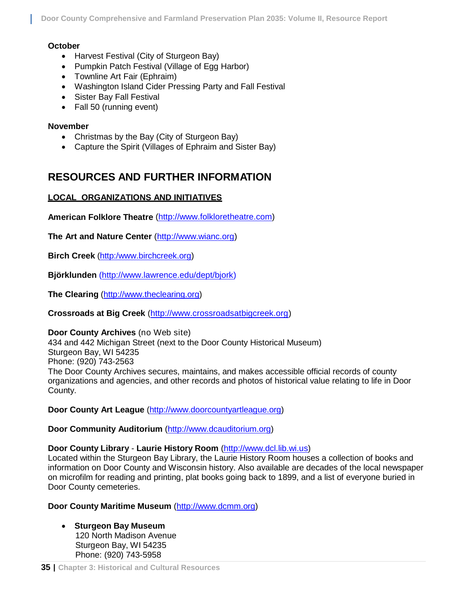**Door County Comprehensive and Farmland Preservation Plan 2035: Volume II, Resource Report**

## **October**

- Harvest Festival (City of Sturgeon Bay)
- Pumpkin Patch Festival (Village of Egg Harbor)
- Townline Art Fair (Ephraim)
- Washington Island Cider Pressing Party and Fall Festival
- Sister Bay Fall Festival
- Fall 50 (running event)

## **November**

- Christmas by the Bay (City of Sturgeon Bay)
- Capture the Spirit (Villages of Ephraim and Sister Bay)

## **RESOURCES AND FURTHER INFORMATION**

## **LOCAL ORGANIZATIONS AND INITIATIVES**

**American Folklore Theatre** [\(http://www.folkloretheatre.com\)](http://www.folkloretheatre.com/)

**The Art and Nature Center** [\(http://www.wianc.org\)](http://www.wianc.org/)

**Birch Creek** [\(http:/www.birchcreek.org\)](http://www.birchcreek.org/)

**Björklunden** [\(http://www.lawrence.edu/dept/bjork\)](http://www.lawrence.edu/dept/bjork)

**The Clearing** [\(http://www.theclearing.org\)](http://www.theclearing.org/)

**Crossroads at Big Creek** [\(http://www.crossroadsatbigcreek.org\)](http://www.crossroadsatbigcreek.org/)

## **Door County Archives** (no Web site)

434 and 442 Michigan Street (next to the Door County Historical Museum) Sturgeon Bay, WI 54235 Phone: (920) 743-2563 The Door County Archives secures, maintains, and makes accessible official records of county organizations and agencies, and other records and photos of historical value relating to life in Door County.

**Door County Art League** [\(http://www.doorcountyartleague.org\)](http://www.doorcountyartleague.org/)

## **Door Community Auditorium** [\(http://www.dcauditorium.org\)](http://www.dcauditorium.org/)

## **Door County Library** - **Laurie History Room** [\(http://www.dcl.lib.wi.us\)](http://www.dcl.lib.wi.us/)

Located within the Sturgeon Bay Library, the Laurie History Room houses a collection of books and information on Door County and Wisconsin history. Also available are decades of the local newspaper on microfilm for reading and printing, plat books going back to 1899, and a list of everyone buried in Door County cemeteries.

## **Door County Maritime Museum** [\(http://www.dcmm.org\)](http://www.dcmm.org/)

 **Sturgeon Bay Museum** 120 North Madison Avenue Sturgeon Bay, WI 54235 Phone: (920) 743-5958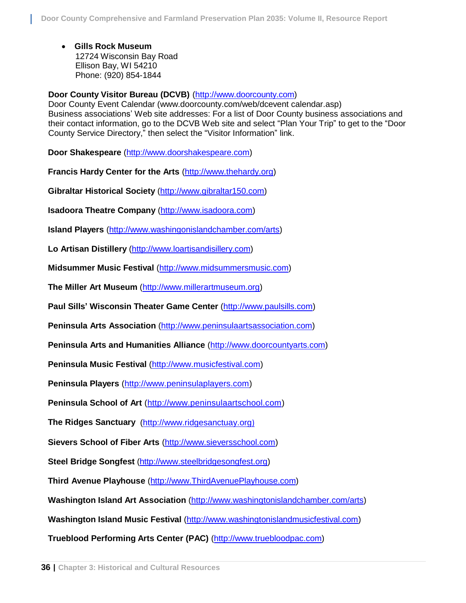**Gills Rock Museum** 12724 Wisconsin Bay Road Ellison Bay, WI 54210 Phone: (920) 854-1844

**Door County Visitor Bureau (DCVB)** [\(http://www.doorcounty.com\)](http://www.doorcounty.com/)

Door County Event Calendar (www.doorcounty.com/web/dcevent calendar.asp) Business associations' Web site addresses: For a list of Door County business associations and their contact information, go to the DCVB Web site and select "Plan Your Trip" to get to the "Door County Service Directory," then select the "Visitor Information" link.

**Door Shakespeare** [\(http://www.doorshakespeare.com\)](http://www.doorshakespeare.com/)

**Francis Hardy Center for the Arts** [\(http://www.thehardy.org\)](http://www.thehardy.org/)

**Gibraltar Historical Society** [\(http://www.gibraltar150.com\)](http://www.gibraltar150.com/)

**Isadoora Theatre Company** [\(http://www.isadoora.com\)](http://www.isadoora.com/)

**Island Players** [\(http://www.washingonislandchamber.com/arts\)](http://www.washingonislandchamber.com/arts)

**Lo Artisan Distillery** [\(http://www.loartisandisillery.com\)](http://www.loartisandisillery.com/)

**Midsummer Music Festival** [\(http://www.midsummersmusic.com\)](http://www.midsummersmusic.com/)

**The Miller Art Museum** [\(http://www.millerartmuseum.org\)](http://www.millerartmuseum.org/)

**Paul Sills' Wisconsin Theater Game Center** [\(http://www.paulsills.com\)](http://www.paulsills.com/)

**Peninsula Arts Association** [\(http://www.peninsulaartsassociation.com\)](http://www.peninsulaartsassociation.com/)

**Peninsula Arts and Humanities Alliance** [\(http://www.doorcountyarts.com\)](http://www.doorcountyarts.com/)

**Peninsula Music Festival** [\(http://www.musicfestival.com\)](http://www.musicfestival.com/)

**Peninsula Players** [\(http://www.peninsulaplayers.com\)](http://www.peninsulaplayers.com/)

**Peninsula School of Art** [\(http://www.peninsulaartschool.com\)](http://www.peninsulaartschool.com/)

**The Ridges Sanctuary** [\(http://www.ridgesanctuay.org](http://www.ridgesanctuay.org/))

**Sievers School of Fiber Arts** [\(http://www.sieversschool.com\)](http://www.sieversschool.com/)

**Steel Bridge Songfest** [\(http://www.steelbridgesongfest.org\)](http://www.steelbridgesongfest.org/)

**Third Avenue Playhouse** [\(http://www.ThirdAvenuePlayhouse.com\)](http://www.thirdavenueplayhouse.com/)

**Washington Island Art Association** [\(http://www.washingtonislandchamber.com/arts\)](http://www.washingtonislandchamber.com/arts)

**Washington Island Music Festival** [\(http://www.washingtonislandmusicfestival.com\)](http://www.washingtonislandmusicfestival.com/)

**Trueblood Performing Arts Center (PAC)** [\(http://www.truebloodpac.com\)](http://www.truebloodpac.com/)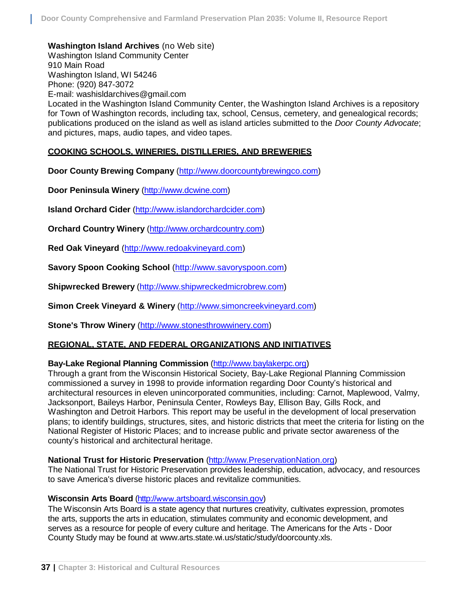**Washington Island Archives** (no Web site)

Washington Island Community Center 910 Main Road Washington Island, WI 54246 Phone: (920) 847-3072

E-mail: [washisldarchives@gmail.com](mailto:washisldarchives@gmail.com)

Located in the Washington Island Community Center, the Washington Island Archives is a repository for Town of Washington records, including tax, school, Census, cemetery, and genealogical records; publications produced on the island as well as island articles submitted to the *Door County Advocate*; and pictures, maps, audio tapes, and video tapes.

## **COOKING SCHOOLS, WINERIES, DISTILLERIES, AND BREWERIES**

**Door County Brewing Company** [\(http://www.doorcountybrewingco.com\)](http://www.doorcountybrewingco.com/)

**Door Peninsula Winery** [\(http://www.dcwine.com\)](http://www.dcwine.com/)

**Island Orchard Cider** [\(http://www.islandorchardcider.com\)](http://www.islandorchardcider.com/)

**Orchard Country Winery** [\(http://www.orchardcountry.com\)](http://www.orchardcountry.com/)

**Red Oak Vineyard** [\(http://www.redoakvineyard.com\)](http://www.redoakvineyard.com/)

**Savory Spoon Cooking School** [\(http://www.savoryspoon.com\)](http://www.savoryspoon.com/)

**Shipwrecked Brewery** [\(http://www.shipwreckedmicrobrew.com\)](http://www.shipwreckedmicrobrew.com/)

**Simon Creek Vineyard & Winery** [\(http://www.simoncreekvineyard.com\)](http://www.simoncreekvineyard.com/)

**Stone's Throw Winery** [\(http://www.stonesthrowwinery.com\)](http://www.stonesthrowwinery.com/)

## **REGIONAL, STATE, AND FEDERAL ORGANIZATIONS AND INITIATIVES**

## **Bay-Lake Regional Planning Commission** [\(http://www.baylakerpc.org\)](http://www.baylakerpc.org/)

Through a grant from the Wisconsin Historical Society, Bay-Lake Regional Planning Commission commissioned a survey in 1998 to provide information regarding Door County's historical and architectural resources in eleven unincorporated communities, including: Carnot, Maplewood, Valmy, Jacksonport, Baileys Harbor, Peninsula Center, Rowleys Bay, Ellison Bay, Gills Rock, and Washington and Detroit Harbors. This report may be useful in the development of local preservation plans; to identify buildings, structures, sites, and historic districts that meet the criteria for listing on the National Register of Historic Places; and to increase public and private sector awareness of the county's historical and architectural heritage.

#### **National Trust for Historic Preservation** [\(http://www.PreservationNation.org\)](http://www.preservationnation.org/)

The National Trust for Historic Preservation provides leadership, education, advocacy, and resources to save America's diverse historic places and revitalize communities.

#### **Wisconsin Arts Board** (http://www.[artsboard.wisconsin.gov\)](http://www.artsboard.wisconsin.gov/)

The Wisconsin Arts Board is a state agency that nurtures creativity, cultivates expression, promotes the arts, supports the arts in education, stimulates community and economic development, and serves as a resource for people of every culture and heritage. The Americans for the Arts - Door County Study may be found at www.arts.state.wi.us/static/study/doorcounty.xls.